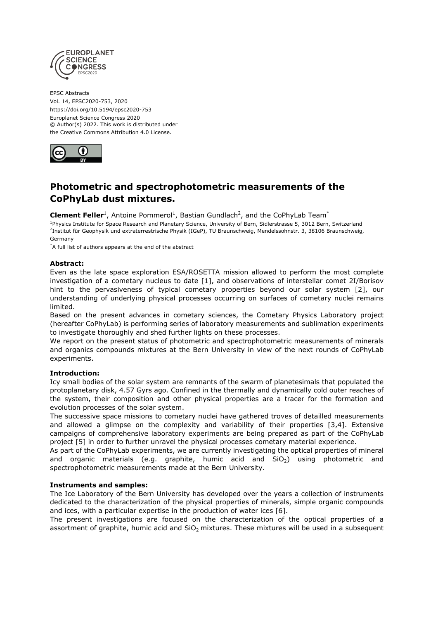

EPSC Abstracts Vol. 14, EPSC2020-753, 2020 https://doi.org/10.5194/epsc2020-753 Europlanet Science Congress 2020 © Author(s) 2022. This work is distributed under the Creative Commons Attribution 4.0 License.



# **Photometric and spectrophotometric measurements of the CoPhyLab dust mixtures.**

**Clement Feller**<sup>1</sup>, Antoine Pommerol<sup>1</sup>, Bastian Gundlach<sup>2</sup>, and the CoPhyLab Team<sup>\*</sup>

<sup>1</sup>Physics Institute for Space Research and Planetary Science, University of Bern, Sidlerstrasse 5, 3012 Bern, Switzerland <sup>2</sup>Institut für Geophysik und extraterrestrische Physik (IGeP), TU Braunschweig, Mendelssohnstr. 3, 38106 Braunschweig, Germany

\*A full list of authors appears at the end of the abstract

## **Abstract:**

Even as the late space exploration ESA/ROSETTA mission allowed to perform the most complete investigation of a cometary nucleus to date [1], and observations of interstellar comet 2I/Borisov hint to the pervasiveness of typical cometary properties beyond our solar system [2], our understanding of underlying physical processes occurring on surfaces of cometary nuclei remains limited.

Based on the present advances in cometary sciences, the Cometary Physics Laboratory project (hereafter CoPhyLab) is performing series of laboratory measurements and sublimation experiments to investigate thoroughly and shed further lights on these processes.

We report on the present status of photometric and spectrophotometric measurements of minerals and organics compounds mixtures at the Bern University in view of the next rounds of CoPhyLab experiments.

## **Introduction:**

Icy small bodies of the solar system are remnants of the swarm of planetesimals that populated the protoplanetary disk, 4.57 Gyrs ago. Confined in the thermally and dynamically cold outer reaches of the system, their composition and other physical properties are a tracer for the formation and evolution processes of the solar system.

The successive space missions to cometary nuclei have gathered troves of detailled measurements and allowed a glimpse on the complexity and variability of their properties [3,4]. Extensive campaigns of comprehensive laboratory experiments are being prepared as part of the CoPhyLab project [5] in order to further unravel the physical processes cometary material experience.

As part of the CoPhyLab experiments, we are currently investigating the optical properties of mineral and organic materials (e.g. graphite, humic acid and  $SiO<sub>2</sub>$ ) using photometric and spectrophotometric measurements made at the Bern University.

## **Instruments and samples:**

The Ice Laboratory of the Bern University has developed over the years a collection of instruments dedicated to the characterization of the physical properties of minerals, simple organic compounds and ices, with a particular expertise in the production of water ices [6].

The present investigations are focused on the characterization of the optical properties of a assortment of graphite, humic acid and  $SiO<sub>2</sub>$  mixtures. These mixtures will be used in a subsequent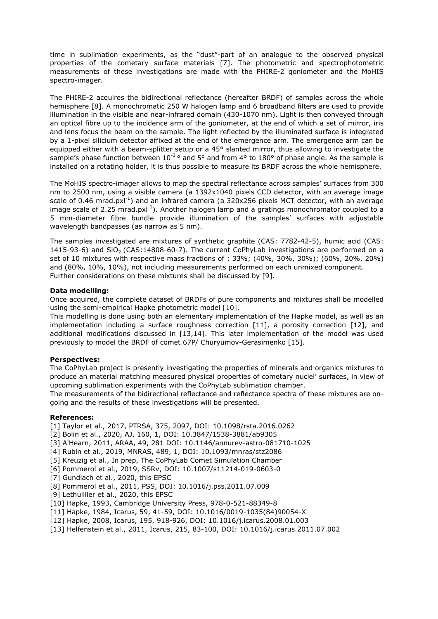time in sublimation experiments, as the "dust"-part of an analogue to the observed physical properties of the cometary surface materials [7]. The photometric and spectrophotometric measurements of these investigations are made with the PHIRE-2 goniometer and the MoHIS spectro-imager.

The PHIRE-2 acquires the bidirectional reflectance (hereafter BRDF) of samples across the whole hemisphere [8]. A monochromatic 250 W halogen lamp and 6 broadband filters are used to provide illumination in the visible and near-infrared domain (430-1070 nm). Light is then conveyed through an optical fibre up to the incidence arm of the goniometer, at the end of which a set of mirror, iris and lens focus the beam on the sample. The light reflected by the illuminated surface is integrated by a 1-pixel silicium detector affixed at the end of the emergence arm. The emergence arm can be equipped either with a beam-splitter setup or a 45° slanted mirror, thus allowing to investigate the sample's phase function between  $10^{-3}$ <sup>o</sup> and 5<sup>o</sup> and from 4<sup>o</sup> to 180<sup>o</sup> of phase angle. As the sample is installed on a rotating holder, it is thus possible to measure its BRDF across the whole hemisphere.

The MoHIS spectro-imager allows to map the spectral reflectance across samples' surfaces from 300 nm to 2500 nm, using a visible camera (a 1392x1040 pixels CCD detector, with an average image scale of 0.46 mrad.pxl<sup>-1</sup>) and an infrared camera (a 320x256 pixels MCT detector, with an average image scale of 2.25 mrad.px $I^{-1}$ ). Another halogen lamp and a gratings monochromator coupled to a 5 mm-diameter fibre bundle provide illumination of the samples' surfaces with adjustable wavelength bandpasses (as narrow as 5 nm).

The samples investigated are mixtures of synthetic graphite (CAS: 7782-42-5), humic acid (CAS: 1415-93-6) and  $SiO<sub>2</sub>$  (CAS:14808-60-7). The current CoPhyLab investigations are performed on a set of 10 mixtures with respective mass fractions of : 33%; (40%, 30%, 30%); (60%, 20%, 20%) and (80%, 10%, 10%), not including measurements performed on each unmixed component. Further considerations on these mixtures shall be discussed by [9].

## **Data modelling:**

Once acquired, the complete dataset of BRDFs of pure components and mixtures shall be modelled using the semi-empirical Hapke photometric model [10].

This modelling is done using both an elementary implementation of the Hapke model, as well as an implementation including a surface roughness correction [11], a porosity correction [12], and additional modifications discussed in [13,14]. This later implementation of the model was used previously to model the BRDF of comet 67P/ Churyumov-Gerasimenko [15].

#### **Perspectives:**

The CoPhyLab project is presently investigating the properties of minerals and organics mixtures to produce an material matching measured physical properties of cometary nuclei' surfaces, in view of upcoming sublimation experiments with the CoPhyLab sublimation chamber.

The measurements of the bidirectional reflectance and reflectance spectra of these mixtures are ongoing and the results of these investigations will be presented.

#### **References:**

- [1] Taylor et al., 2017, PTRSA, 375, 2097, DOI: 10.1098/rsta.2016.0262
- [2] Bolin et al., 2020, AJ, 160, 1, DOI: 10.3847/1538-3881/ab9305
- [3] A'Hearn, 2011, ARAA, 49, 281 DOI: 10.1146/annurev-astro-081710-1025
- [4] Rubin et al., 2019, MNRAS, 489, 1, DOI: 10.1093/mnras/stz2086
- [5] Kreuzig et al., In prep, The CoPhyLab Comet Simulation Chamber
- [6] Pommerol et al., 2019, SSRv, DOI: 10.1007/s11214-019-0603-0
- [7] Gundlach et al., 2020, this EPSC
- [8] Pommerol et al., 2011, PSS, DOI: 10.1016/j.pss.2011.07.009
- [9] Lethuillier et al., 2020, this EPSC
- [10] Hapke, 1993, Cambridge University Press, 978-0-521-88349-8
- [11] Hapke, 1984, Icarus, 59, 41-59, DOI: 10.1016/0019-1035(84)90054-X
- [12] Hapke, 2008, Icarus, 195, 918-926, DOI: 10.1016/j.icarus.2008.01.003
- [13] Helfenstein et al., 2011, Icarus, 215, 83-100, DOI: 10.1016/j.icarus.2011.07.002